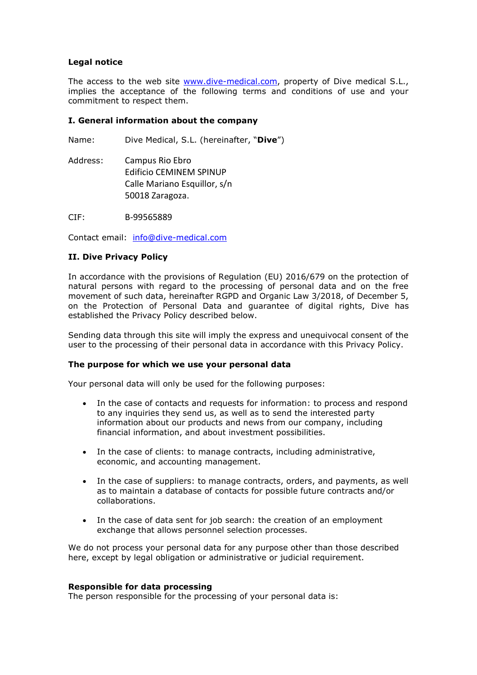# **Legal notice**

The access to the web site [www.dive-medical.com,](www.dive-medical.com) property of Dive medical S.L., implies the acceptance of the following terms and conditions of use and your commitment to respect them.

### **I. General information about the company**

Name: Dive Medical, S.L. (hereinafter, "**Dive**")

Address: Campus Rio Ebro Edificio CEMINEM SPINUP Calle Mariano Esquillor, s/n 50018 Zaragoza.

CIF: B-99565889

Contact email: [info@dive-medical.com](mailto:info@dive-medical.com)

# **II. Dive Privacy Policy**

In accordance with the provisions of Regulation (EU) 2016/679 on the protection of natural persons with regard to the processing of personal data and on the free movement of such data, hereinafter RGPD and Organic Law 3/2018, of December 5, on the Protection of Personal Data and guarantee of digital rights, Dive has established the Privacy Policy described below.

Sending data through this site will imply the express and unequivocal consent of the user to the processing of their personal data in accordance with this Privacy Policy.

### **The purpose for which we use your personal data**

Your personal data will only be used for the following purposes:

- In the case of contacts and requests for information: to process and respond to any inquiries they send us, as well as to send the interested party information about our products and news from our company, including financial information, and about investment possibilities.
- In the case of clients: to manage contracts, including administrative, economic, and accounting management.
- In the case of suppliers: to manage contracts, orders, and payments, as well as to maintain a database of contacts for possible future contracts and/or collaborations.
- In the case of data sent for job search: the creation of an employment exchange that allows personnel selection processes.

We do not process your personal data for any purpose other than those described here, except by legal obligation or administrative or judicial requirement.

### **Responsible for data processing**

The person responsible for the processing of your personal data is: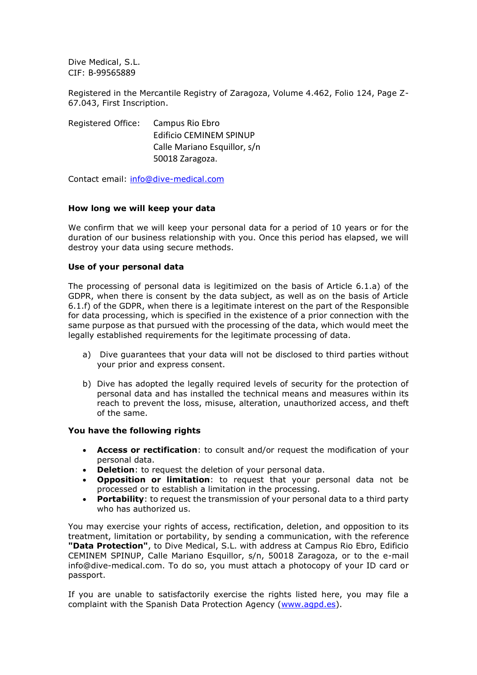Dive Medical, S.L. CIF: B-99565889

Registered in the Mercantile Registry of Zaragoza, Volume 4.462, Folio 124, Page Z-67.043, First Inscription.

Registered Office: Campus Rio Ebro Edificio CEMINEM SPINUP Calle Mariano Esquillor, s/n 50018 Zaragoza.

Contact email: [info@dive-medical.com](mailto:info@dive-medical.com) 

# **How long we will keep your data**

We confirm that we will keep your personal data for a period of 10 years or for the duration of our business relationship with you. Once this period has elapsed, we will destroy your data using secure methods.

# **Use of your personal data**

The processing of personal data is legitimized on the basis of Article 6.1.a) of the GDPR, when there is consent by the data subject, as well as on the basis of Article 6.1.f) of the GDPR, when there is a legitimate interest on the part of the Responsible for data processing, which is specified in the existence of a prior connection with the same purpose as that pursued with the processing of the data, which would meet the legally established requirements for the legitimate processing of data.

- a) Dive guarantees that your data will not be disclosed to third parties without your prior and express consent.
- b) Dive has adopted the legally required levels of security for the protection of personal data and has installed the technical means and measures within its reach to prevent the loss, misuse, alteration, unauthorized access, and theft of the same.

### **You have the following rights**

- **Access or rectification**: to consult and/or request the modification of your personal data.
- **Deletion**: to request the deletion of your personal data.
- **Opposition or limitation**: to request that your personal data not be processed or to establish a limitation in the processing.
- **Portability**: to request the transmission of your personal data to a third party who has authorized us.

You may exercise your rights of access, rectification, deletion, and opposition to its treatment, limitation or portability, by sending a communication, with the reference **"Data Protection"**, to Dive Medical, S.L. with address at Campus Rio Ebro, Edificio CEMINEM SPINUP, Calle Mariano Esquillor, s/n, 50018 Zaragoza, or to the e-mail info@dive-medical.com. To do so, you must attach a photocopy of your ID card or passport.

If you are unable to satisfactorily exercise the rights listed here, you may file a complaint with the Spanish Data Protection Agency [\(www.agpd.es\)](http://www.agpd.es/).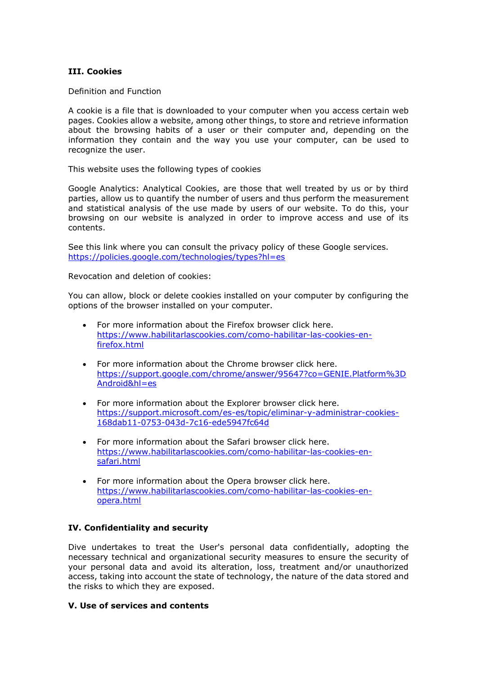# **III. Cookies**

Definition and Function

A cookie is a file that is downloaded to your computer when you access certain web pages. Cookies allow a website, among other things, to store and retrieve information about the browsing habits of a user or their computer and, depending on the information they contain and the way you use your computer, can be used to recognize the user.

This website uses the following types of cookies

Google Analytics: Analytical Cookies, are those that well treated by us or by third parties, allow us to quantify the number of users and thus perform the measurement and statistical analysis of the use made by users of our website. To do this, your browsing on our website is analyzed in order to improve access and use of its contents.

See this link where you can consult the privacy policy of these Google services. <https://policies.google.com/technologies/types?hl=es>

Revocation and deletion of cookies:

You can allow, block or delete cookies installed on your computer by configuring the options of the browser installed on your computer.

- For more information about the Firefox browser click here. [https://www.habilitarlascookies.com/como-habilitar-las-cookies-en](https://www.habilitarlascookies.com/como-habilitar-las-cookies-en-firefox.html)[firefox.html](https://www.habilitarlascookies.com/como-habilitar-las-cookies-en-firefox.html)
- For more information about the Chrome browser click here. [https://support.google.com/chrome/answer/95647?co=GENIE.Platform%3D](https://support.google.com/chrome/answer/95647?co=GENIE.Platform%3DAndroid&hl=es) [Android&hl=es](https://support.google.com/chrome/answer/95647?co=GENIE.Platform%3DAndroid&hl=es)
- For more information about the Explorer browser click here. [https://support.microsoft.com/es-es/topic/eliminar-y-administrar-cookies-](https://support.microsoft.com/es-es/topic/eliminar-y-administrar-cookies-168dab11-0753-043d-7c16-ede5947fc64d)[168dab11-0753-043d-7c16-ede5947fc64d](https://support.microsoft.com/es-es/topic/eliminar-y-administrar-cookies-168dab11-0753-043d-7c16-ede5947fc64d)
- For more information about the Safari browser click here. [https://www.habilitarlascookies.com/como-habilitar-las-cookies-en](https://www.habilitarlascookies.com/como-habilitar-las-cookies-en-safari.html)[safari.html](https://www.habilitarlascookies.com/como-habilitar-las-cookies-en-safari.html)
- For more information about the Opera browser click here. [https://www.habilitarlascookies.com/como-habilitar-las-cookies-en](https://www.habilitarlascookies.com/como-habilitar-las-cookies-en-opera.html)[opera.html](https://www.habilitarlascookies.com/como-habilitar-las-cookies-en-opera.html)

### **IV. Confidentiality and security**

Dive undertakes to treat the User's personal data confidentially, adopting the necessary technical and organizational security measures to ensure the security of your personal data and avoid its alteration, loss, treatment and/or unauthorized access, taking into account the state of technology, the nature of the data stored and the risks to which they are exposed.

### **V. Use of services and contents**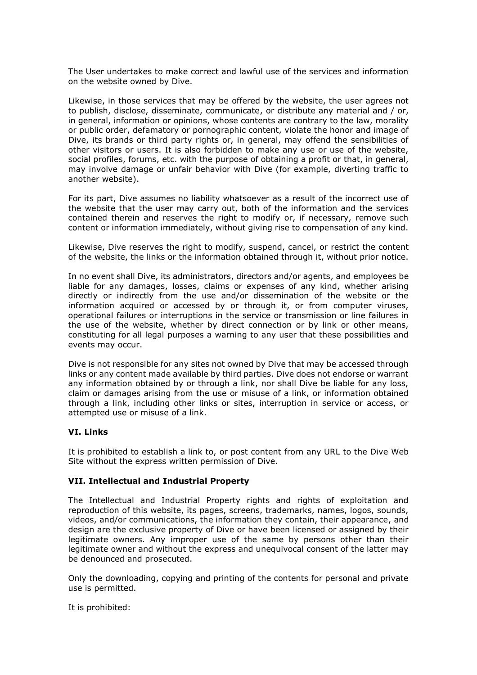The User undertakes to make correct and lawful use of the services and information on the website owned by Dive.

Likewise, in those services that may be offered by the website, the user agrees not to publish, disclose, disseminate, communicate, or distribute any material and / or, in general, information or opinions, whose contents are contrary to the law, morality or public order, defamatory or pornographic content, violate the honor and image of Dive, its brands or third party rights or, in general, may offend the sensibilities of other visitors or users. It is also forbidden to make any use or use of the website, social profiles, forums, etc. with the purpose of obtaining a profit or that, in general, may involve damage or unfair behavior with Dive (for example, diverting traffic to another website).

For its part, Dive assumes no liability whatsoever as a result of the incorrect use of the website that the user may carry out, both of the information and the services contained therein and reserves the right to modify or, if necessary, remove such content or information immediately, without giving rise to compensation of any kind.

Likewise, Dive reserves the right to modify, suspend, cancel, or restrict the content of the website, the links or the information obtained through it, without prior notice.

In no event shall Dive, its administrators, directors and/or agents, and employees be liable for any damages, losses, claims or expenses of any kind, whether arising directly or indirectly from the use and/or dissemination of the website or the information acquired or accessed by or through it, or from computer viruses, operational failures or interruptions in the service or transmission or line failures in the use of the website, whether by direct connection or by link or other means, constituting for all legal purposes a warning to any user that these possibilities and events may occur.

Dive is not responsible for any sites not owned by Dive that may be accessed through links or any content made available by third parties. Dive does not endorse or warrant any information obtained by or through a link, nor shall Dive be liable for any loss, claim or damages arising from the use or misuse of a link, or information obtained through a link, including other links or sites, interruption in service or access, or attempted use or misuse of a link.

### **VI. Links**

It is prohibited to establish a link to, or post content from any URL to the Dive Web Site without the express written permission of Dive.

### **VII. Intellectual and Industrial Property**

The Intellectual and Industrial Property rights and rights of exploitation and reproduction of this website, its pages, screens, trademarks, names, logos, sounds, videos, and/or communications, the information they contain, their appearance, and design are the exclusive property of Dive or have been licensed or assigned by their legitimate owners. Any improper use of the same by persons other than their legitimate owner and without the express and unequivocal consent of the latter may be denounced and prosecuted.

Only the downloading, copying and printing of the contents for personal and private use is permitted.

It is prohibited: